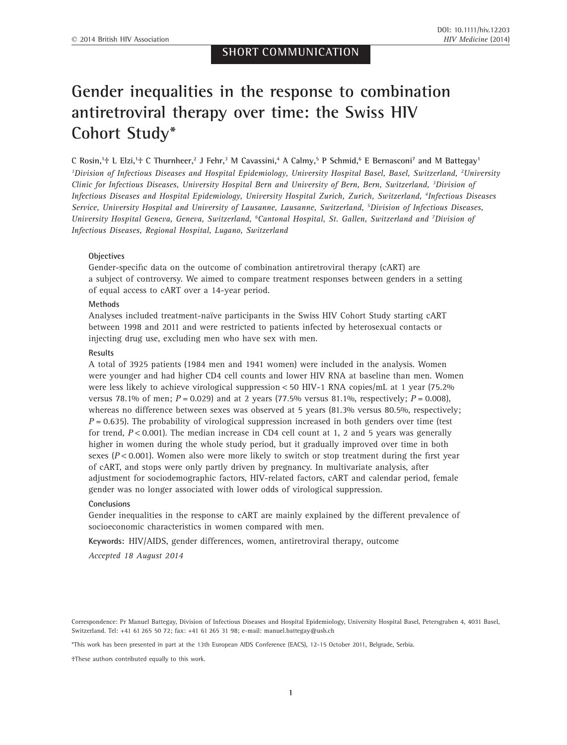# **Gender inequalities in the response to combination antiretroviral therapy over time: the Swiss HIV Cohort Study\***

 $C$  Rosin,<sup>1</sup>† L Elzi,<sup>1</sup>† C Thurnheer,<sup>2</sup> J Fehr,<sup>3</sup> M Cavassini,<sup>4</sup> A Calmy,<sup>5</sup> P Schmid,<sup>6</sup> E Bernasconi<sup>7</sup> and M Battegay<sup>1</sup> *1 Division of Infectious Diseases and Hospital Epidemiology, University Hospital Basel, Basel, Switzerland, <sup>2</sup> University Clinic for Infectious Diseases, University Hospital Bern and University of Bern, Bern, Switzerland, <sup>3</sup> Division of Infectious Diseases and Hospital Epidemiology, University Hospital Zurich, Zurich, Switzerland, <sup>4</sup> Infectious Diseases Service, University Hospital and University of Lausanne, Lausanne, Switzerland, <sup>5</sup> Division of Infectious Diseases, University Hospital Geneva, Geneva, Switzerland, <sup>6</sup> Cantonal Hospital, St. Gallen, Switzerland and <sup>7</sup> Division of Infectious Diseases, Regional Hospital, Lugano, Switzerland*

#### **Objectives**

Gender-specific data on the outcome of combination antiretroviral therapy (cART) are a subject of controversy. We aimed to compare treatment responses between genders in a setting of equal access to cART over a 14-year period.

#### **Methods**

Analyses included treatment-naïve participants in the Swiss HIV Cohort Study starting cART between 1998 and 2011 and were restricted to patients infected by heterosexual contacts or injecting drug use, excluding men who have sex with men.

#### **Results**

A total of 3925 patients (1984 men and 1941 women) were included in the analysis. Women were younger and had higher CD4 cell counts and lower HIV RNA at baseline than men. Women were less likely to achieve virological suppression < 50 HIV-1 RNA copies/mL at 1 year (75.2% versus 78.1% of men;  $P = 0.029$ ) and at 2 years (77.5% versus 81.1%, respectively;  $P = 0.008$ ), whereas no difference between sexes was observed at 5 years (81.3% versus 80.5%, respectively; *P* = 0.635). The probability of virological suppression increased in both genders over time (test for trend, *P* < 0.001). The median increase in CD4 cell count at 1, 2 and 5 years was generally higher in women during the whole study period, but it gradually improved over time in both sexes ( $P < 0.001$ ). Women also were more likely to switch or stop treatment during the first year of cART, and stops were only partly driven by pregnancy. In multivariate analysis, after adjustment for sociodemographic factors, HIV-related factors, cART and calendar period, female gender was no longer associated with lower odds of virological suppression.

#### **Conclusions**

Gender inequalities in the response to cART are mainly explained by the different prevalence of socioeconomic characteristics in women compared with men.

**Keywords:** HIV/AIDS, gender differences, women, antiretroviral therapy, outcome

*Accepted 18 August 2014*

Correspondence: Pr Manuel Battegay, Division of Infectious Diseases and Hospital Epidemiology, University Hospital Basel, Petersgraben 4, 4031 Basel, Switzerland. Tel: +41 61 265 50 72; fax: +41 61 265 31 98; e-mail: manuel.battegay@usb.ch

\*This work has been presented in part at the 13th European AIDS Conference (EACS), 12-15 October 2011, Belgrade, Serbia.

**†**These authors contributed equally to this work.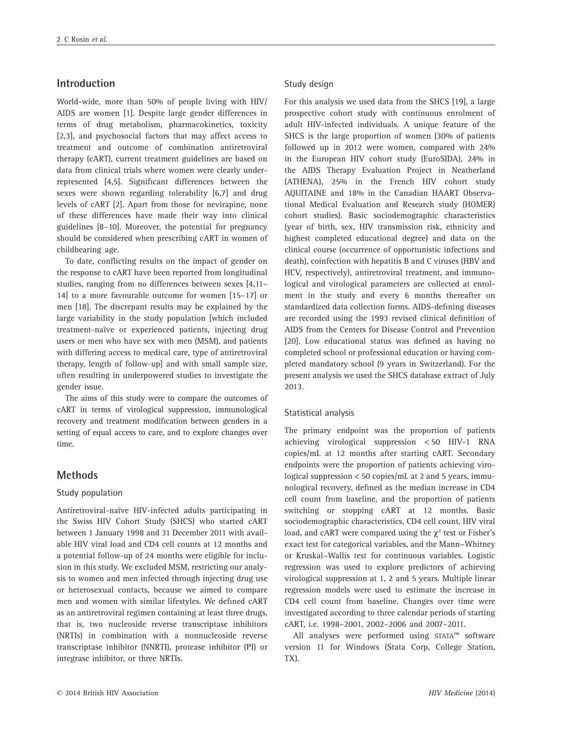# **Introduction**

World-wide, more than 50% of people living with HIV/ AIDS are women [1]. Despite large gender differences in terms of drug metabolism, pharmacokinetics, toxicity [2,3], and psychosocial factors that may affect access to treatment and outcome of combination antiretroviral therapy (cART), current treatment guidelines are based on data from clinical trials where women were clearly underrepresented [4,5]. Significant differences between the sexes were shown regarding tolerability [6,7] and drug levels of cART [2]. Apart from those for nevirapine, none of these differences have made their way into clinical guidelines [8–10]. Moreover, the potential for pregnancy should be considered when prescribing cART in women of childbearing age.

To date, conflicting results on the impact of gender on the response to cART have been reported from longitudinal studies, ranging from no differences between sexes [4,11– 14] to a more favourable outcome for women [15–17] or men [18]. The discrepant results may be explained by the large variability in the study population [which included treatment-naïve or experienced patients, injecting drug users or men who have sex with men (MSM), and patients with differing access to medical care, type of antiretroviral therapy, length of follow-up] and with small sample size, often resulting in underpowered studies to investigate the gender issue.

The aims of this study were to compare the outcomes of cART in terms of virological suppression, immunological recovery and treatment modification between genders in a setting of equal access to care, and to explore changes over time.

# **Methods**

#### Study population

Antiretroviral-naïve HIV-infected adults participating in the Swiss HIV Cohort Study (SHCS) who started cART between 1 January 1998 and 31 December 2011 with available HIV viral load and CD4 cell counts at 12 months and a potential follow-up of 24 months were eligible for inclusion in this study. We excluded MSM, restricting our analysis to women and men infected through injecting drug use or heterosexual contacts, because we aimed to compare men and women with similar lifestyles. We defined cART as an antiretroviral regimen containing at least three drugs, that is, two nucleoside reverse transcriptase inhibitors (NRTIs) in combination with a nonnucleoside reverse transcriptase inhibitor (NNRTI), protease inhibitor (PI) or integrase inhibitor, or three NRTIs.

#### Study design

For this analysis we used data from the SHCS [19], a large prospective cohort study with continuous enrolment of adult HIV-infected individuals. A unique feature of the SHCS is the large proportion of women (30% of patients followed up in 2012 were women, compared with 24% in the European HIV cohort study (EuroSIDA), 24% in the AIDS Therapy Evaluation Project in Neatherland (ATHENA), 25% in the French HIV cohort study AQUITAINE and 18% in the Canadian HAART Observational Medical Evaluation and Research study (HOMER) cohort studies). Basic sociodemographic characteristics (year of birth, sex, HIV transmission risk, ethnicity and highest completed educational degree) and data on the clinical course (occurrence of opportunistic infections and death), coinfection with hepatitis B and C viruses (HBV and HCV, respectively), antiretroviral treatment, and immunological and virological parameters are collected at enrolment in the study and every 6 months thereafter on standardized data collection forms. AIDS-defining diseases are recorded using the 1993 revised clinical definition of AIDS from the Centers for Disease Control and Prevention [20]. Low educational status was defined as having no completed school or professional education or having completed mandatory school (9 years in Switzerland). For the present analysis we used the SHCS database extract of July 2013.

#### Statistical analysis

The primary endpoint was the proportion of patients achieving virological suppression < 50 HIV-1 RNA copies/mL at 12 months after starting cART. Secondary endpoints were the proportion of patients achieving virological suppression < 50 copies/mL at 2 and 5 years, immunological recovery, defined as the median increase in CD4 cell count from baseline, and the proportion of patients switching or stopping cART at 12 months. Basic sociodemographic characteristics, CD4 cell count, HIV viral load, and cART were compared using the  $\chi^2$  test or Fisher's exact test for categorical variables, and the Mann−Whitney or Kruskal−Wallis test for continuous variables. Logistic regression was used to explore predictors of achieving virological suppression at 1, 2 and 5 years. Multiple linear regression models were used to estimate the increase in CD4 cell count from baseline. Changes over time were investigated according to three calendar periods of starting cART, i.e. 1998–2001, 2002–2006 and 2007–2011.

All analyses were performed using STATA™ software version 11 for Windows (Stata Corp, College Station, TX).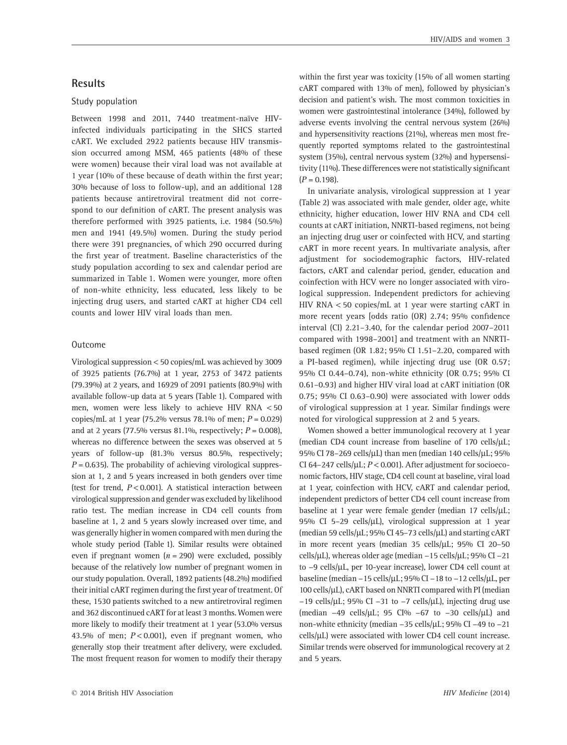## **Results**

#### Study population

Between 1998 and 2011, 7440 treatment-naïve HIVinfected individuals participating in the SHCS started cART. We excluded 2922 patients because HIV transmission occurred among MSM, 465 patients (48% of these were women) because their viral load was not available at 1 year (10% of these because of death within the first year; 30% because of loss to follow-up), and an additional 128 patients because antiretroviral treatment did not correspond to our definition of cART. The present analysis was therefore performed with 3925 patients, i.e. 1984 (50.5%) men and 1941 (49.5%) women. During the study period there were 391 pregnancies, of which 290 occurred during the first year of treatment. Baseline characteristics of the study population according to sex and calendar period are summarized in Table 1. Women were younger, more often of non-white ethnicity, less educated, less likely to be injecting drug users, and started cART at higher CD4 cell counts and lower HIV viral loads than men.

#### **Outcome**

Virological suppression < 50 copies/mL was achieved by 3009 of 3925 patients (76.7%) at 1 year, 2753 of 3472 patients (79.39%) at 2 years, and 16929 of 2091 patients (80.9%) with available follow-up data at 5 years (Table 1). Compared with men, women were less likely to achieve HIV RNA < 50 copies/mL at 1 year (75.2% versus 78.1% of men; *P* = 0.029) and at 2 years (77.5% versus 81.1%, respectively; *P* = 0.008), whereas no difference between the sexes was observed at 5 years of follow-up (81.3% versus 80.5%, respectively;  $P = 0.635$ ). The probability of achieving virological suppression at 1, 2 and 5 years increased in both genders over time (test for trend, *P* < 0.001). A statistical interaction between virological suppression and gender was excluded by likelihood ratio test. The median increase in CD4 cell counts from baseline at 1, 2 and 5 years slowly increased over time, and was generally higher in women compared with men during the whole study period (Table 1). Similar results were obtained even if pregnant women  $(n = 290)$  were excluded, possibly because of the relatively low number of pregnant women in our study population. Overall, 1892 patients (48.2%) modified their initial cART regimen during the first year of treatment. Of these, 1530 patients switched to a new antiretroviral regimen and 362 discontinued cART for at least 3 months. Women were more likely to modify their treatment at 1 year (53.0% versus 43.5% of men; *P* < 0.001), even if pregnant women, who generally stop their treatment after delivery, were excluded. The most frequent reason for women to modify their therapy within the first year was toxicity (15% of all women starting cART compared with 13% of men), followed by physician's decision and patient's wish. The most common toxicities in women were gastrointestinal intolerance (34%), followed by adverse events involving the central nervous system (26%) and hypersensitivity reactions (21%), whereas men most frequently reported symptoms related to the gastrointestinal system (35%), central nervous system (32%) and hypersensitivity (11%). These differences were not statistically significant  $(P = 0.198)$ .

In univariate analysis, virological suppression at 1 year (Table 2) was associated with male gender, older age, white ethnicity, higher education, lower HIV RNA and CD4 cell counts at cART initiation, NNRTI-based regimens, not being an injecting drug user or coinfected with HCV, and starting cART in more recent years. In multivariate analysis, after adjustment for sociodemographic factors, HIV-related factors, cART and calendar period, gender, education and coinfection with HCV were no longer associated with virological suppression. Independent predictors for achieving HIV RNA < 50 copies/mL at 1 year were starting cART in more recent years [odds ratio (OR) 2.74; 95% confidence interval (CI) 2.21–3.40, for the calendar period 2007–2011 compared with 1998–2001] and treatment with an NNRTIbased regimen (OR 1.82; 95% CI 1.51–2.20, compared with a PI-based regimen), while injecting drug use (OR 0.57; 95% CI 0.44–0.74), non-white ethnicity (OR 0.75; 95% CI 0.61–0.93) and higher HIV viral load at cART initiation (OR 0.75; 95% CI 0.63–0.90) were associated with lower odds of virological suppression at 1 year. Similar findings were noted for virological suppression at 2 and 5 years.

Women showed a better immunological recovery at 1 year (median CD4 count increase from baseline of 170 cells/μL; 95% CI 78–269 cells/μL) than men (median 140 cells/μL; 95% CI 64–247 cells/μL; *P* < 0.001). After adjustment for socioeconomic factors, HIV stage, CD4 cell count at baseline, viral load at 1 year, coinfection with HCV, cART and calendar period, independent predictors of better CD4 cell count increase from baseline at 1 year were female gender (median 17 cells/μL; 95% CI 5–29 cells/ $\mu$ L), virological suppression at 1 year (median 59 cells/μL; 95% CI 45–73 cells/μL) and starting cART in more recent years (median 35 cells/µL; 95% CI 20-50 cells/μL), whereas older age (median –15 cells/μL; 95% CI –21 to −9 cells/μL, per 10-year increase), lower CD4 cell count at baseline (median −15 cells/μL; 95% CI −18 to −12 cells/μL, per  $100$  cells/ $\mu$ L), cART based on NNRTI compared with PI (median −19 cells/μL; 95% CI −31 to −7 cells/μL), injecting drug use (median  $-49$  cells/ $\mu$ L; 95 CI%  $-67$  to  $-30$  cells/ $\mu$ L) and non-white ethnicity (median −35 cells/μL; 95% CI −49 to −21 cells/μL) were associated with lower CD4 cell count increase. Similar trends were observed for immunological recovery at 2 and 5 years.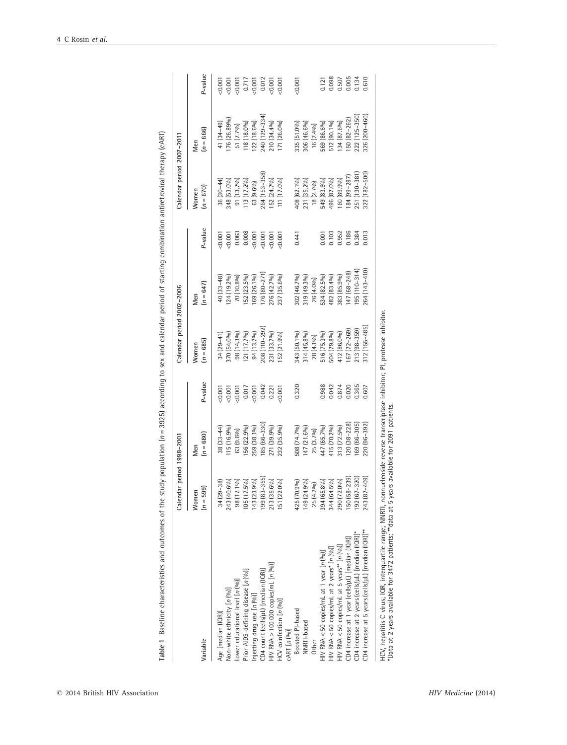|                                                                                                                                                                                                                               | Calendar period 1998-2001  |                    |         | Calendar period 2002-2006 |                    |         | Calendar period 2007-2011 |                    |         |
|-------------------------------------------------------------------------------------------------------------------------------------------------------------------------------------------------------------------------------|----------------------------|--------------------|---------|---------------------------|--------------------|---------|---------------------------|--------------------|---------|
| Variable                                                                                                                                                                                                                      | 599)<br>Women<br>$\bar{a}$ | $(n = 680)$<br>Men | P-value | $(n = 685)$<br>Women      | $(n = 647)$<br>Men | P-value | $(n = 670)$<br>Women      | $(n = 666)$<br>Men | P-value |
| Age [median (IQR)]                                                                                                                                                                                                            | $(29 - 38)$<br>34          | $38(33 - 44)$      | 0.001   | $34(29-41)$               | $40(33 - 48)$      | 0.001   | $36(30-44)$               | 41 (34-49)         | 0.001   |
| Non-white ethnicity [n [%]]                                                                                                                                                                                                   | (40.6%)<br>243(            | 115 (16.9%)        | 0.001   | 370 (54.0%)               | 124(19.2%)         | 0.001   | 348 (53.0%)               | 76 (26.89%)        | 0.001   |
| Lower educational level [n [%]]                                                                                                                                                                                               | (17.10)()<br>98            | 63 (9.6%)          | 0.001   | 98 (14.3%)                | 70 (10.8%)         | 0.063   | 91 (13.7%)                | 51 (7.7%)          | 0.001   |
| Prior AIDS-defining disease [n (%)]                                                                                                                                                                                           | (17.5%)<br>105             | 56 (22.9%)         | 0.017   | 21 (17.7%)                | 52 (23.5%)         | 0.008   | 113 (17.2%)               | 18 (18.0%)         | 0.717   |
| Injecting drug use [n [%]]                                                                                                                                                                                                    | (23.9%)<br>143             | !59 (38.1%)        | 0.001   | 94 (13.7%)                | 69 (26.1%)         | 50.001  | 63 (9.6%)                 | 22 (18.6%)         | 0.001   |
| CD4 count (cells/µL) [median (IQR)]                                                                                                                                                                                           | $(83 - 355)$<br>99         | 85 (66-330)        | 0.042   | 208 (110-292)             | $176(80 - 271)$    | 0.001   | 264 (153-358)             | $(129 - 334)$      | 0.012   |
| $HIV$ RNA $> 100$ 000 copies/mL $[n$ [%]]                                                                                                                                                                                     | (35.6%)<br>213             | 271 (39.9%)        | 0.221   | 231 (33.7%)               | 276 (42.7%)        | 0.001   | 52 (24.7%)                | (10(34.4%))        | 0.001   |
| HCV coinfection [n [%]]<br>CART [n (%)]                                                                                                                                                                                       | (22.0%)<br>151             | 232 (35.9%)        | 20.001  | 52 (21.9%)                | 237 (35.6%)        | 50.001  | 111 (17.0%)               | 71 (26.0%)         | 50.001  |
| Boosted PI-based                                                                                                                                                                                                              | (70.9%)<br>425             | 508 (74.7%)        | 0.320   | 343 (50.1%)               | 302 (46.7%)        | 0.441   | 108 (62.1%)               | 35 (51.0%)         | 0.001   |
| NNRTI-based                                                                                                                                                                                                                   | (24.9%)<br>149             | 47 (21.6%)         |         | 314 (45.8%)               | 319 (49.3%)        |         | 231 (35.2%)               | 806 (46.6%)        |         |
| Other                                                                                                                                                                                                                         | $(4.2\%)$<br>25            | 25 (3.7%)          |         | 28 (4.1%)                 | 26 (4.0%)          |         | 18 (2.7%)                 | 16(2.4%)           |         |
| HIV RNA < 50 copies/mL at 1 year $[n(96)]$                                                                                                                                                                                    | (65.8%)<br>394             | 447 (65.7%)        | 0.988   | 516 (75.3%)               | 534 (82.5%)        | 0.001   | 549 (83.6%)               | 569 (86.6%)        | 0.121   |
| HIV RNA < 50 copies/mL at 2 years* [n [%]]                                                                                                                                                                                    | (64.5%)<br>344             | 415 (70.2%)        | 0.042   | 504 (79.8%)               | 482 (83.4%)        | 0.103   | 496 (87.0%)               | 512 (90.1%)        | 0.098   |
| $H/N$ RNA < 50 copies/mL at 5 years** [n $[96]$ ]                                                                                                                                                                             | (72.0%)<br>290             | 313 (72.5%)        | 0.874   | 412 (86.0%)               | 383 (85.9%)        | 0.952   | 60 (89.9%)                | 34 (87.6%)         | 0.507   |
| CD4 increase at 1 year (cells/µL) [median (IQR)]                                                                                                                                                                              | $(58 - 239)$<br>50         | $20(38-228)$       | 0.020   | $(67 (72 - 269))$         | 147 (68-248)       | 0.186   | 84 (99-287)               | 50 (82 - 262)      | 0.005   |
| CD4 increase at 2 years (cells/uL) [median (IQR)]*                                                                                                                                                                            | $(67 - 320)$<br>92         | 69 (66-305)        | 0.365   | 213 (98-359)              | $195(110-314)$     | 0.384   | 251 (130-381)             | 222 (125-350)      | 0.134   |
| CD4 increase at 5 years (cells/µL) [median (IQR)]**                                                                                                                                                                           | $(87 - 409)$<br>243        | 220 (96-392)       | 0.607   | 312 (155-485)             | $264(143 - 410)$   | 0.013   | $322(182 - 500)$          | 326 (200-460)      | 0.610   |
| HCV, hepatitis C virus; IQR, interquartile range; NNRTI, nonnucleoside reverse transcriptase inhibitor; PI, protease inhibitor<br>Data at 2 years available for 3472 patients; ** data at 5 years available for 2091 patients |                            |                    |         |                           |                    |         |                           |                    |         |

Table 1 Baseline characteristics and outcomes of the study population (n = 3925) according to sex and calendar period of starting combination antiretroviral therapy (cART) **Table 1** Baseline characteristics and outcomes of the study population (*n* = 3925) according to sex and calendar period of starting combination antiretroviral therapy (cART)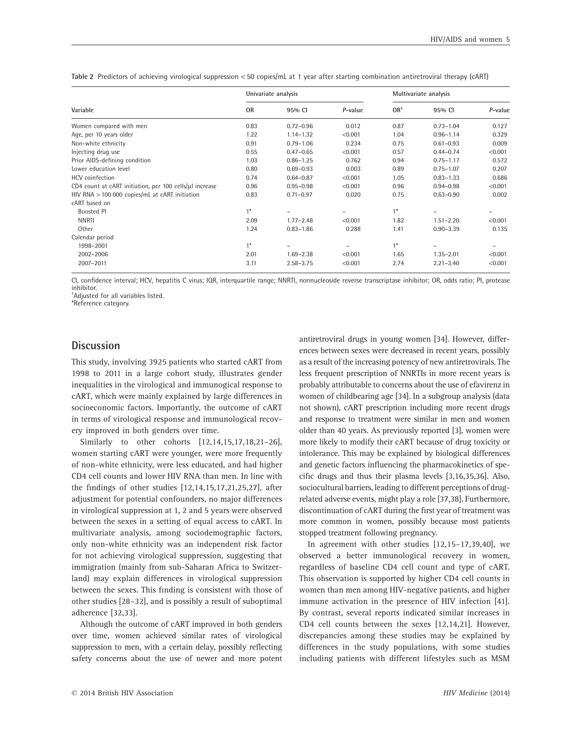| Variable                                                | Univariate analysis |               |         | Multivariate analysis |               |         |
|---------------------------------------------------------|---------------------|---------------|---------|-----------------------|---------------|---------|
|                                                         | <b>OR</b>           | 95% CI        | P-value | $OR+$                 | 95% CI        | P-value |
| Women compared with men                                 | 0.83                | $0.72 - 0.96$ | 0.012   | 0.87                  | $0.73 - 1.04$ | 0.127   |
| Age, per 10 years older                                 | 1.22                | $1.14 - 1.32$ | < 0.001 | 1.04                  | $0.96 - 1.14$ | 0.329   |
| Non-white ethnicity                                     | 0.91                | $0.79 - 1.06$ | 0.234   | 0.75                  | $0.61 - 0.93$ | 0.009   |
| Injecting drug use                                      | 0.55                | $0.47 - 0.65$ | < 0.001 | 0.57                  | $0.44 - 0.74$ | < 0.001 |
| Prior AIDS-defining condition                           | 1.03                | $0.86 - 1.25$ | 0.762   | 0.94                  | $0.75 - 1.17$ | 0.572   |
| Lower education level                                   | 0.80                | $0.69 - 0.93$ | 0.003   | 0.89                  | $0.75 - 1.07$ | 0.207   |
| HCV coinfection                                         | 0.74                | $0.64 - 0.87$ | < 0.001 | 1.05                  | $0.83 - 1.33$ | 0.686   |
| CD4 count at cART initiation, per 100 cells/µl increase | 0.96                | $0.95 - 0.98$ | < 0.001 | 0.96                  | $0.94 - 0.98$ | < 0.001 |
| $HIV$ RNA $>$ 100 000 copies/mL at cART initiation      | 0.83                | $0.71 - 0.97$ | 0.020   | 0.75                  | $0.63 - 0.90$ | 0.002   |
| cART based on                                           |                     |               |         |                       |               |         |
| Boosted PI                                              | $1*$                |               |         | $1*$                  |               |         |
| <b>NNRTI</b>                                            | 2.09                | $1.77 - 2.48$ | < 0.001 | 1.82                  | $1.51 - 2.20$ | < 0.001 |
| Other                                                   | 1.24                | $0.83 - 1.86$ | 0.288   | 1.41                  | $0.90 - 3.39$ | 0.135   |
| Calendar period                                         |                     |               |         |                       |               |         |
| 1998-2001                                               | $1*$                |               |         | $1*$                  |               |         |
| 2002-2006                                               | 2.01                | $1.69 - 2.38$ | < 0.001 | 1.65                  | $1.35 - 2.01$ | < 0.001 |
| 2007-2011                                               | 3.11                | $2.58 - 3.75$ | < 0.001 | 2.74                  | $2.21 - 3.40$ | < 0.001 |

**Table 2** Predictors of achieving virological suppression < 50 copies/mL at 1 year after starting combination antiretroviral therapy (cART)

CI, confidence interval; HCV, hepatitis C virus; IQR, interquartile range; NNRTI, nonnucleoside reverse transcriptase inhibitor; OR, odds ratio; PI, protease inhibitor.

† Adjusted for all variables listed.

\*Reference category.

## **Discussion**

This study, involving 3925 patients who started cART from 1998 to 2011 in a large cohort study, illustrates gender inequalities in the virological and immunogical response to cART, which were mainly explained by large differences in socioeconomic factors. Importantly, the outcome of cART in terms of virological response and immunological recovery improved in both genders over time.

Similarly to other cohorts [12,14,15,17,18,21–26], women starting cART were younger, were more frequently of non-white ethnicity, were less educated, and had higher CD4 cell counts and lower HIV RNA than men. In line with the findings of other studies [12,14,15,17,21,25,27], after adjustment for potential confounders, no major differences in virological suppression at 1, 2 and 5 years were observed between the sexes in a setting of equal access to cART. In multivariate analysis, among sociodemographic factors, only non-white ethnicity was an independent risk factor for not achieving virological suppression, suggesting that immigration (mainly from sub-Saharan Africa to Switzerland) may explain differences in virological suppression between the sexes. This finding is consistent with those of other studies [28–32], and is possibly a result of suboptimal adherence [32,33].

Although the outcome of cART improved in both genders over time, women achieved similar rates of virological suppression to men, with a certain delay, possibly reflecting safety concerns about the use of newer and more potent antiretroviral drugs in young women [34]. However, differences between sexes were decreased in recent years, possibly as a result of the increasing potency of new antiretrovirals. The less frequent prescription of NNRTIs in more recent years is probably attributable to concerns about the use of efavirenz in women of childbearing age [34]. In a subgroup analysis (data not shown), cART prescription including more recent drugs and response to treatment were similar in men and women older than 40 years. As previously reported [3], women were more likely to modify their cART because of drug toxicity or intolerance. This may be explained by biological differences and genetic factors influencing the pharmacokinetics of specific drugs and thus their plasma levels [3,16,35,36]. Also, sociocultural barriers, leading to different perceptions of drugrelated adverse events, might play a role [37,38]. Furthermore, discontinuation of cART during the first year of treatment was more common in women, possibly because most patients stopped treatment following pregnancy.

In agreement with other studies [12,15–17,39,40], we observed a better immunological recovery in women, regardless of baseline CD4 cell count and type of cART. This observation is supported by higher CD4 cell counts in women than men among HIV-negative patients, and higher immune activation in the presence of HIV infection [41]. By contrast, several reports indicated similar increases in CD4 cell counts between the sexes [12,14,21]. However, discrepancies among these studies may be explained by differences in the study populations, with some studies including patients with different lifestyles such as MSM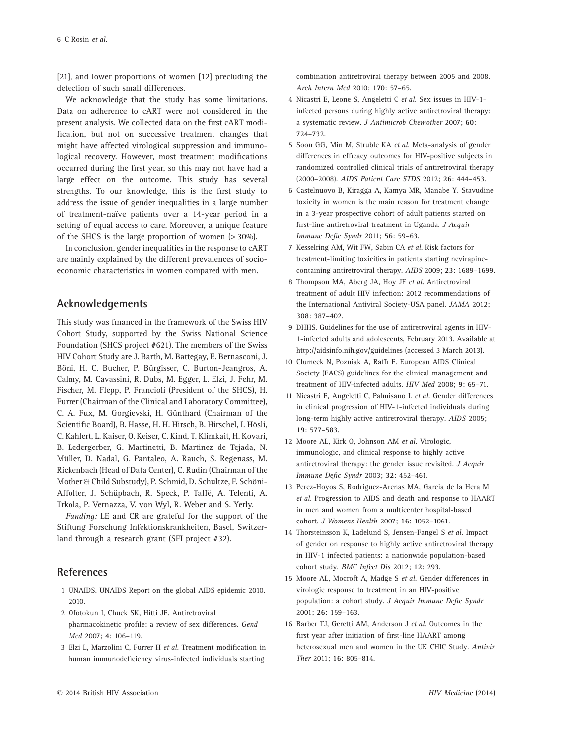[21], and lower proportions of women [12] precluding the detection of such small differences.

We acknowledge that the study has some limitations. Data on adherence to cART were not considered in the present analysis. We collected data on the first cART modification, but not on successive treatment changes that might have affected virological suppression and immunological recovery. However, most treatment modifications occurred during the first year, so this may not have had a large effect on the outcome. This study has several strengths. To our knowledge, this is the first study to address the issue of gender inequalities in a large number of treatment-naïve patients over a 14-year period in a setting of equal access to care. Moreover, a unique feature of the SHCS is the large proportion of women (> 30%).

In conclusion, gender inequalities in the response to cART are mainly explained by the different prevalences of socioeconomic characteristics in women compared with men.

### **Acknowledgements**

This study was financed in the framework of the Swiss HIV Cohort Study, supported by the Swiss National Science Foundation (SHCS project #621). The members of the Swiss HIV Cohort Study are J. Barth, M. Battegay, E. Bernasconi, J. Böni, H. C. Bucher, P. Bürgisser, C. Burton-Jeangros, A. Calmy, M. Cavassini, R. Dubs, M. Egger, L. Elzi, J. Fehr, M. Fischer, M. Flepp, P. Francioli (President of the SHCS), H. Furrer (Chairman of the Clinical and Laboratory Committee), C. A. Fux, M. Gorgievski, H. Günthard (Chairman of the Scientific Board), B. Hasse, H. H. Hirsch, B. Hirschel, I. Hösli, C. Kahlert, L. Kaiser, O. Keiser, C. Kind, T. Klimkait, H. Kovari, B. Ledergerber, G. Martinetti, B. Martinez de Tejada, N. Müller, D. Nadal, G. Pantaleo, A. Rauch, S. Regenass, M. Rickenbach (Head of Data Center), C. Rudin (Chairman of the Mother & Child Substudy), P. Schmid, D. Schultze, F. Schöni-Affolter, J. Schüpbach, R. Speck, P. Taffé, A. Telenti, A. Trkola, P. Vernazza, V. von Wyl, R. Weber and S. Yerly.

*Funding:* LE and CR are grateful for the support of the Stiftung Forschung Infektionskrankheiten, Basel, Switzerland through a research grant (SFI project #32).

## **References**

- 1 UNAIDS. UNAIDS Report on the global AIDS epidemic 2010. 2010.
- 2 Ofotokun I, Chuck SK, Hitti JE. Antiretroviral pharmacokinetic profile: a review of sex differences. *Gend Med* 2007; **4**: 106–119.
- 3 Elzi L, Marzolini C, Furrer H *et al*. Treatment modification in human immunodeficiency virus-infected individuals starting

combination antiretroviral therapy between 2005 and 2008. *Arch Intern Med* 2010; **170**: 57–65.

- 4 Nicastri E, Leone S, Angeletti C *et al*. Sex issues in HIV-1 infected persons during highly active antiretroviral therapy: a systematic review. *J Antimicrob Chemother* 2007; **60**: 724–732.
- 5 Soon GG, Min M, Struble KA *et al*. Meta-analysis of gender differences in efficacy outcomes for HIV-positive subjects in randomized controlled clinical trials of antiretroviral therapy (2000–2008). *AIDS Patient Care STDS* 2012; **26**: 444–453.
- 6 Castelnuovo B, Kiragga A, Kamya MR, Manabe Y. Stavudine toxicity in women is the main reason for treatment change in a 3-year prospective cohort of adult patients started on first-line antiretroviral treatment in Uganda. *J Acquir Immune Defic Syndr* 2011; **56**: 59–63.
- 7 Kesselring AM, Wit FW, Sabin CA *et al*. Risk factors for treatment-limiting toxicities in patients starting nevirapinecontaining antiretroviral therapy. *AIDS* 2009; **23**: 1689–1699.
- 8 Thompson MA, Aberg JA, Hoy JF *et al*. Antiretroviral treatment of adult HIV infection: 2012 recommendations of the International Antiviral Society-USA panel. *JAMA* 2012; **308**: 387–402.
- 9 DHHS. Guidelines for the use of antiretroviral agents in HIV-1-infected adults and adolescents, February 2013. Available at http://aidsinfo.nih.gov/guidelines (accessed 3 March 2013).
- 10 Clumeck N, Pozniak A, Raffi F. European AIDS Clinical Society (EACS) guidelines for the clinical management and treatment of HIV-infected adults. *HIV Med* 2008; **9**: 65–71.
- 11 Nicastri E, Angeletti C, Palmisano L *et al*. Gender differences in clinical progression of HIV-1-infected individuals during long-term highly active antiretroviral therapy. *AIDS* 2005; **19**: 577–583.
- 12 Moore AL, Kirk O, Johnson AM *et al*. Virologic, immunologic, and clinical response to highly active antiretroviral therapy: the gender issue revisited. *J Acquir Immune Defic Syndr* 2003; **32**: 452–461.
- 13 Perez-Hoyos S, Rodriguez-Arenas MA, Garcia de la Hera M *et al*. Progression to AIDS and death and response to HAART in men and women from a multicenter hospital-based cohort. *J Womens Health* 2007; **16**: 1052–1061.
- 14 Thorsteinsson K, Ladelund S, Jensen-Fangel S *et al*. Impact of gender on response to highly active antiretroviral therapy in HIV-1 infected patients: a nationwide population-based cohort study. *BMC Infect Dis* 2012; **12**: 293.
- 15 Moore AL, Mocroft A, Madge S *et al*. Gender differences in virologic response to treatment in an HIV-positive population: a cohort study. *J Acquir Immune Defic Syndr* 2001; **26**: 159–163.
- 16 Barber TJ, Geretti AM, Anderson J *et al*. Outcomes in the first year after initiation of first-line HAART among heterosexual men and women in the UK CHIC Study. *Antivir Ther* 2011; **16**: 805–814.